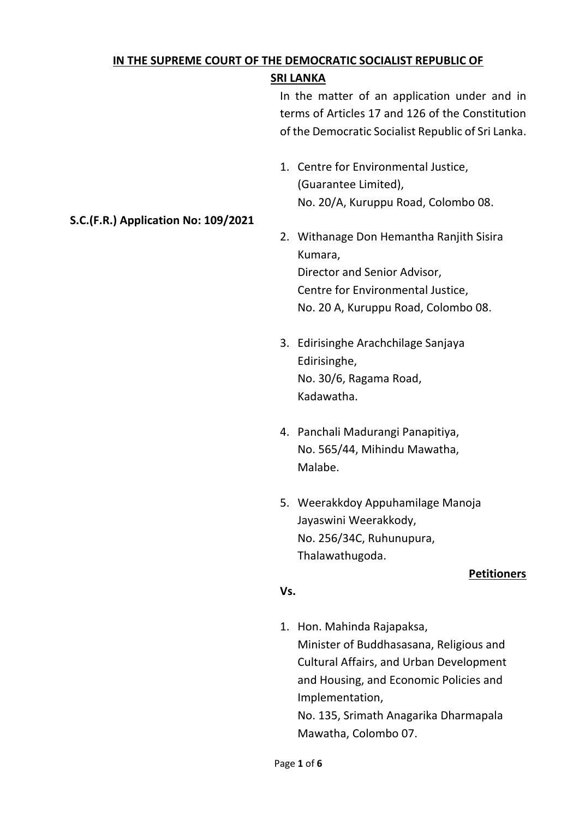# **IN THE SUPREME COURT OF THE DEMOCRATIC SOCIALIST REPUBLIC OF**

# **SRI LANKA**

In the matter of an application under and in terms of Articles 17 and 126 of the Constitution of the Democratic Socialist Republic of Sri Lanka.

1. Centre for Environmental Justice, (Guarantee Limited), No. 20/A, Kuruppu Road, Colombo 08.

# 2. Withanage Don Hemantha Ranjith Sisira Kumara, Director and Senior Advisor, Centre for Environmental Justice, No. 20 A, Kuruppu Road, Colombo 08.

- 3. Edirisinghe Arachchilage Sanjaya Edirisinghe, No. 30/6, Ragama Road, Kadawatha.
- 4. Panchali Madurangi Panapitiya, No. 565/44, Mihindu Mawatha, Malabe.
- 5. Weerakkdoy Appuhamilage Manoja Jayaswini Weerakkody, No. 256/34C, Ruhunupura, Thalawathugoda.

# **Petitioners**

# **Vs.**

1. Hon. Mahinda Rajapaksa, Minister of Buddhasasana, Religious and Cultural Affairs, and Urban Development and Housing, and Economic Policies and Implementation, No. 135, Srimath Anagarika Dharmapala Mawatha, Colombo 07.

# **S.C.(F.R.) Application No: 109/2021**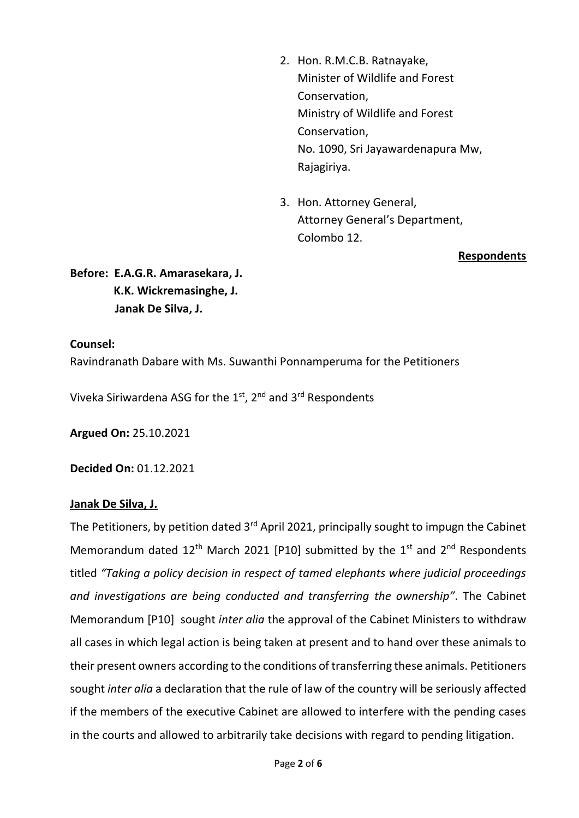- 2. Hon. R.M.C.B. Ratnayake, Minister of Wildlife and Forest Conservation, Ministry of Wildlife and Forest Conservation, No. 1090, Sri Jayawardenapura Mw, Rajagiriya.
- 3. Hon. Attorney General, Attorney General's Department, Colombo 12.

**Respondents**

**Before: E.A.G.R. Amarasekara, J. K.K. Wickremasinghe, J. Janak De Silva, J.**

#### **Counsel:**

Ravindranath Dabare with Ms. Suwanthi Ponnamperuma for the Petitioners

Viveka Siriwardena ASG for the 1<sup>st</sup>, 2<sup>nd</sup> and 3<sup>rd</sup> Respondents

**Argued On:** 25.10.2021

**Decided On:** 01.12.2021

# **Janak De Silva, J.**

The Petitioners, by petition dated  $3<sup>rd</sup>$  April 2021, principally sought to impugn the Cabinet Memorandum dated  $12^{th}$  March 2021 [P10] submitted by the  $1^{st}$  and  $2^{nd}$  Respondents titled *"Taking a policy decision in respect of tamed elephants where judicial proceedings and investigations are being conducted and transferring the ownership"*. The Cabinet Memorandum [P10] sought *inter alia* the approval of the Cabinet Ministers to withdraw all cases in which legal action is being taken at present and to hand over these animals to their present owners according to the conditions of transferring these animals. Petitioners sought *inter alia* a declaration that the rule of law of the country will be seriously affected if the members of the executive Cabinet are allowed to interfere with the pending cases in the courts and allowed to arbitrarily take decisions with regard to pending litigation.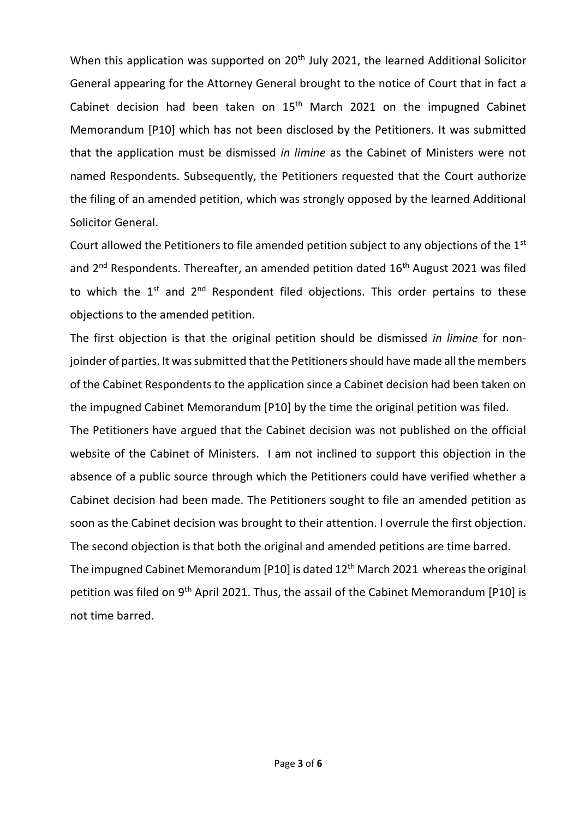When this application was supported on 20<sup>th</sup> July 2021, the learned Additional Solicitor General appearing for the Attorney General brought to the notice of Court that in fact a Cabinet decision had been taken on  $15<sup>th</sup>$  March 2021 on the impugned Cabinet Memorandum [P10] which has not been disclosed by the Petitioners. It was submitted that the application must be dismissed *in limine* as the Cabinet of Ministers were not named Respondents. Subsequently, the Petitioners requested that the Court authorize the filing of an amended petition, which was strongly opposed by the learned Additional Solicitor General.

Court allowed the Petitioners to file amended petition subject to any objections of the 1<sup>st</sup> and  $2^{nd}$  Respondents. Thereafter, an amended petition dated  $16^{th}$  August 2021 was filed to which the  $1^{st}$  and  $2^{nd}$  Respondent filed objections. This order pertains to these objections to the amended petition.

The first objection is that the original petition should be dismissed *in limine* for nonjoinder of parties. It was submitted that the Petitioners should have made all the members of the Cabinet Respondents to the application since a Cabinet decision had been taken on the impugned Cabinet Memorandum [P10] by the time the original petition was filed.

The Petitioners have argued that the Cabinet decision was not published on the official website of the Cabinet of Ministers. I am not inclined to support this objection in the absence of a public source through which the Petitioners could have verified whether a Cabinet decision had been made. The Petitioners sought to file an amended petition as soon as the Cabinet decision was brought to their attention. I overrule the first objection. The second objection is that both the original and amended petitions are time barred. The impugned Cabinet Memorandum [P10] is dated 12<sup>th</sup> March 2021 whereas the original petition was filed on 9<sup>th</sup> April 2021. Thus, the assail of the Cabinet Memorandum [P10] is not time barred.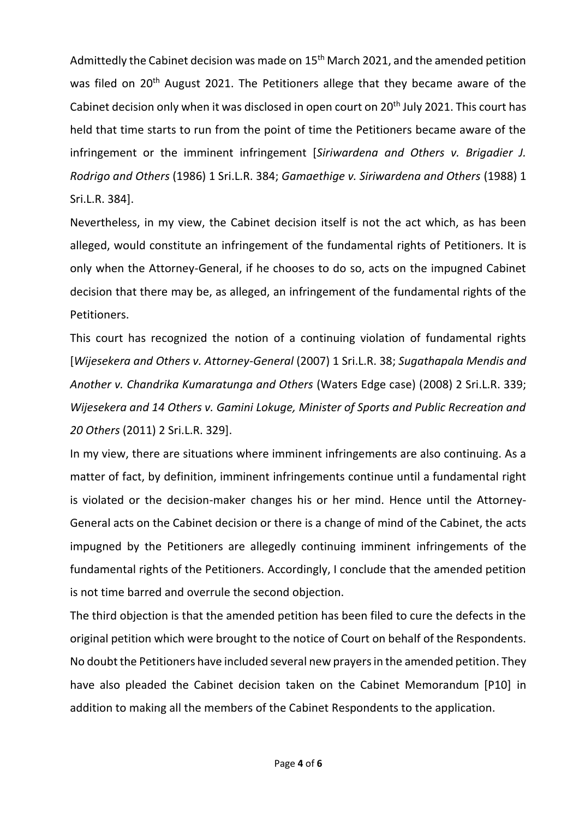Admittedly the Cabinet decision was made on 15<sup>th</sup> March 2021, and the amended petition was filed on 20<sup>th</sup> August 2021. The Petitioners allege that they became aware of the Cabinet decision only when it was disclosed in open court on 20<sup>th</sup> July 2021. This court has held that time starts to run from the point of time the Petitioners became aware of the infringement or the imminent infringement [*Siriwardena and Others v. Brigadier J. Rodrigo and Others* (1986) 1 Sri.L.R. 384; *Gamaethige v. Siriwardena and Others* (1988) 1 Sri.L.R. 384].

Nevertheless, in my view, the Cabinet decision itself is not the act which, as has been alleged, would constitute an infringement of the fundamental rights of Petitioners. It is only when the Attorney-General, if he chooses to do so, acts on the impugned Cabinet decision that there may be, as alleged, an infringement of the fundamental rights of the Petitioners.

This court has recognized the notion of a continuing violation of fundamental rights [*Wijesekera and Others v. Attorney-General* (2007) 1 Sri.L.R. 38; *Sugathapala Mendis and Another v. Chandrika Kumaratunga and Others* (Waters Edge case) (2008) 2 Sri.L.R. 339; *Wijesekera and 14 Others v. Gamini Lokuge, Minister of Sports and Public Recreation and 20 Others* (2011) 2 Sri.L.R. 329].

In my view, there are situations where imminent infringements are also continuing. As a matter of fact, by definition, imminent infringements continue until a fundamental right is violated or the decision-maker changes his or her mind. Hence until the Attorney-General acts on the Cabinet decision or there is a change of mind of the Cabinet, the acts impugned by the Petitioners are allegedly continuing imminent infringements of the fundamental rights of the Petitioners. Accordingly, I conclude that the amended petition is not time barred and overrule the second objection.

The third objection is that the amended petition has been filed to cure the defects in the original petition which were brought to the notice of Court on behalf of the Respondents. No doubt the Petitioners have included several new prayers in the amended petition. They have also pleaded the Cabinet decision taken on the Cabinet Memorandum [P10] in addition to making all the members of the Cabinet Respondents to the application.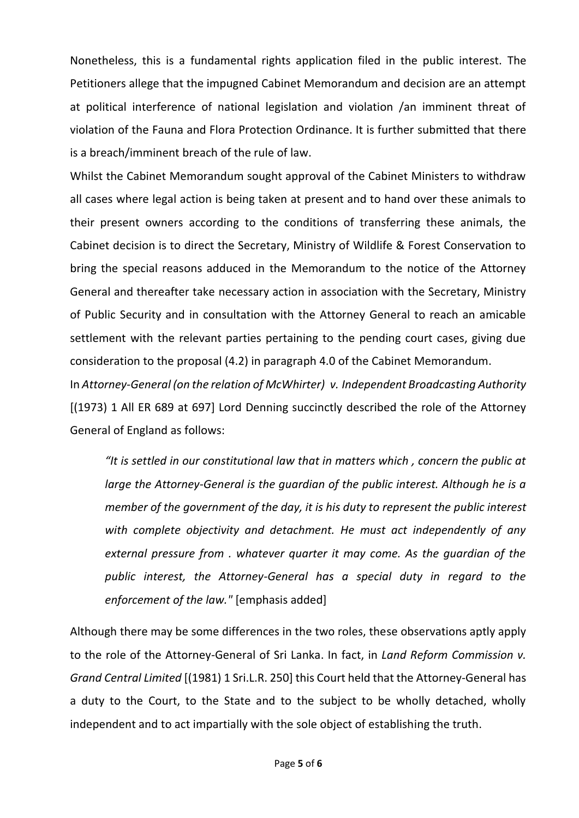Nonetheless, this is a fundamental rights application filed in the public interest. The Petitioners allege that the impugned Cabinet Memorandum and decision are an attempt at political interference of national legislation and violation /an imminent threat of violation of the Fauna and Flora Protection Ordinance. It is further submitted that there is a breach/imminent breach of the rule of law.

Whilst the Cabinet Memorandum sought approval of the Cabinet Ministers to withdraw all cases where legal action is being taken at present and to hand over these animals to their present owners according to the conditions of transferring these animals, the Cabinet decision is to direct the Secretary, Ministry of Wildlife & Forest Conservation to bring the special reasons adduced in the Memorandum to the notice of the Attorney General and thereafter take necessary action in association with the Secretary, Ministry of Public Security and in consultation with the Attorney General to reach an amicable settlement with the relevant parties pertaining to the pending court cases, giving due consideration to the proposal (4.2) in paragraph 4.0 of the Cabinet Memorandum.

In *Attorney-General (on the relation of McWhirter) v. Independent Broadcasting Authority* [(1973) 1 All ER 689 at 697] Lord Denning succinctly described the role of the Attorney General of England as follows:

*"It is settled in our constitutional law that in matters which , concern the public at large the Attorney-General is the guardian of the public interest. Although he is a member of the government of the day, it is his duty to represent the public interest with complete objectivity and detachment. He must act independently of any external pressure from . whatever quarter it may come. As the guardian of the public interest, the Attorney-General has a special duty in regard to the enforcement of the law."* [emphasis added]

Although there may be some differences in the two roles, these observations aptly apply to the role of the Attorney-General of Sri Lanka. In fact, in *Land Reform Commission v. Grand Central Limited* [(1981) 1 Sri.L.R. 250] this Court held that the Attorney-General has a duty to the Court, to the State and to the subject to be wholly detached, wholly independent and to act impartially with the sole object of establishing the truth.